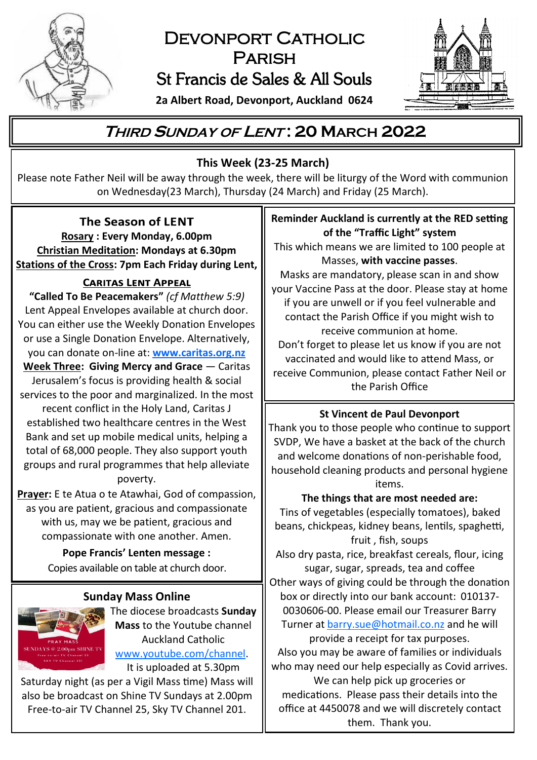

# DEVONPORT CATHOLIC **PARISH** St Francis de Sales & All Souls



**2a Albert Road, Devonport, Auckland 0624**

# **<sup>T</sup>HIRD <sup>S</sup>UNDAY OF <sup>L</sup>ENT : 20 MARCH 2022**

## **This Week (23-25 March)**

Please note Father Neil will be away through the week, there will be liturgy of the Word with communion on Wednesday(23 March), Thursday (24 March) and Friday (25 March).

#### The Season of LENT

**Rosary : Every Monday, 6.00pm Christian Meditation: Mondays at 6.30pm Stations of the Cross: 7pm Each Friday during Lent,** 

#### **CARITAS LENT APPEAL**

**"Called To Be Peacemakers"** *(cf Matthew 5:9)* Lent Appeal Envelopes available at church door. You can either use the Weekly Donation Envelopes or use a Single Donation Envelope. Alternatively, you can donate on-line at: **[www.caritas.org.nz](https://caritas.org.nz/donate) Week Three: Giving Mercy and Grace** — Caritas Jerusalem's focus is providing health & social services to the poor and marginalized. In the most recent conflict in the Holy Land, Caritas J established two healthcare centres in the West Bank and set up mobile medical units, helping a total of 68,000 people. They also support youth groups and rural programmes that help alleviate poverty.

**Prayer:** E te Atua o te Atawhai, God of compassion, as you are patient, gracious and compassionate with us, may we be patient, gracious and compassionate with one another. Amen.

> **Pope Francis' Lenten message :**  Copies available on table at church door.

#### **Sunday Mass Online**



The diocese broadcasts **Sunday Mass** to the Youtube channel Auckland Catholic [www.youtube.com/channel.](https://www.youtube.com/channel/UCb7o1XYfQet-mOW1mJSzfow) It is uploaded at 5.30pm

Saturday night (as per a Vigil Mass time) Mass will also be broadcast on Shine TV Sundays at 2.00pm Free-to-air TV Channel 25, Sky TV Channel 201.

### **Reminder Auckland is currently at the RED setting of the "Traffic Light" system**

This which means we are limited to 100 people at Masses, **with vaccine passes**.

Masks are mandatory, please scan in and show your Vaccine Pass at the door. Please stay at home if you are unwell or if you feel vulnerable and contact the Parish Office if you might wish to receive communion at home.

Don't forget to please let us know if you are not vaccinated and would like to attend Mass, or receive Communion, please contact Father Neil or the Parish Office

#### **St Vincent de Paul Devonport**

Thank you to those people who continue to support SVDP, We have a basket at the back of the church and welcome donations of non-perishable food, household cleaning products and personal hygiene items.

**The things that are most needed are:** Tins of vegetables (especially tomatoes), baked beans, chickpeas, kidney beans, lentils, spaghetti,

fruit , fish, soups

Also dry pasta, rice, breakfast cereals, flour, icing sugar, sugar, spreads, tea and coffee

Other ways of giving could be through the donation box or directly into our bank account: 010137- 0030606-00. Please email our Treasurer Barry Turner at **[barry.sue@hotmail.co.nz](mailto:barry.sue@hotmail.co.nz)** and he will

provide a receipt for tax purposes. Also you may be aware of families or individuals who may need our help especially as Covid arrives.

We can help pick up groceries or medications. Please pass their details into the office at 4450078 and we will discretely contact them. Thank you.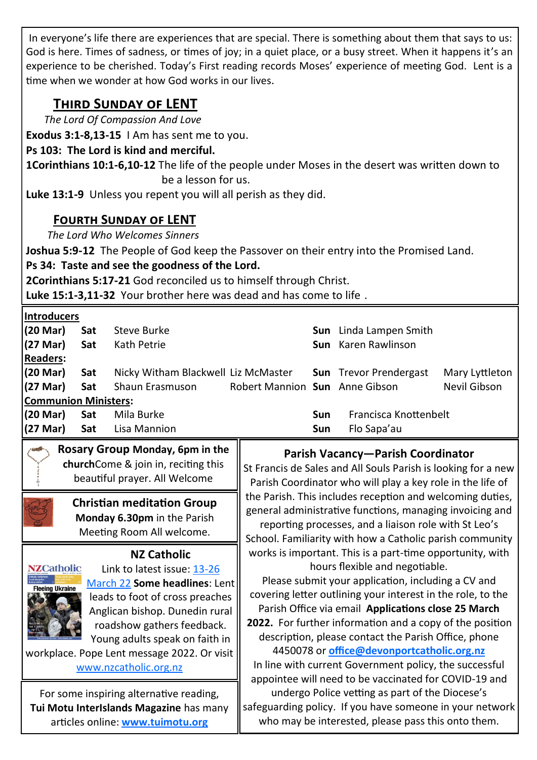In everyone's life there are experiences that are special. There is something about them that says to us: God is here. Times of sadness, or times of joy; in a quiet place, or a busy street. When it happens it's an experience to be cherished. Today's First reading records Moses' experience of meeting God. Lent is a time when we wonder at how God works in our lives.

# **Third Sunday of LENT**

*The Lord Of Compassion And Love*

**Exodus 3:1-8,13-15** I Am has sent me to you.

#### **Ps 103: The Lord is kind and merciful.**

**1Corinthians 10:1-6,10-12** The life of the people under Moses in the desert was written down to be a lesson for us.

**Luke 13:1-9** Unless you repent you will all perish as they did.

## **Fourth Sunday of LENT**

*The Lord Who Welcomes Sinners*

**Joshua 5:9-12** The People of God keep the Passover on their entry into the Promised Land.

## **Ps 34: Taste and see the goodness of the Lord.**

**2Corinthians 5:17-21** God reconciled us to himself through Christ.

**Luke 15:1-3,11-32** Your brother here was dead and has come to life .

| <b>Introducers</b>          |            |                                     |                                |     |                               |                |
|-----------------------------|------------|-------------------------------------|--------------------------------|-----|-------------------------------|----------------|
| (20 Mar)                    | Sat        | Steve Burke                         |                                |     | <b>Sun</b> Linda Lampen Smith |                |
| $(27 \text{ Mar})$          | <b>Sat</b> | Kath Petrie                         |                                |     | Sun Karen Rawlinson           |                |
| <b>Readers:</b>             |            |                                     |                                |     |                               |                |
| (20 Mar)                    | Sat        | Nicky Witham Blackwell Liz McMaster |                                |     | <b>Sun</b> Trevor Prendergast | Mary Lyttleton |
| (27 Mar)                    | Sat        | Shaun Erasmuson                     | Robert Mannion Sun Anne Gibson |     |                               | Nevil Gibson   |
| <b>Communion Ministers:</b> |            |                                     |                                |     |                               |                |
| (20 Mar)                    | Sat        | Mila Burke                          |                                | Sun | Francisca Knottenbelt         |                |
| $(27 \text{ Mar})$          | Sat        | Lisa Mannion                        |                                | Sun | Flo Sapa'au                   |                |

**Rosary Group Monday, 6pm in the church**Come & join in, reciting this beautiful prayer. All Welcome

> **Christian meditation Group Monday 6.30pm** in the Parish Meeting Room All welcome.

#### **NZ Catholic**



Link to latest issue: 13-[26](https://indd.adobe.com/view/e7fba446-52c8-4585-aa31-2a70f63285eb)  [March 22](https://indd.adobe.com/view/e7fba446-52c8-4585-aa31-2a70f63285eb) **Some headlines**: Lent leads to foot of cross preaches Anglican bishop. Dunedin rural roadshow gathers feedback. Young adults speak on faith in

workplace. Pope Lent message 2022. Or visit [www.nzcatholic.org.nz](https://nzcatholic.org.nz/)

For some inspiring alternative reading, **Tui Motu InterIslands Magazine** has many articles online: **[www.tuimotu.org](http://www.tuimotu.org)**

#### **Parish Vacancy—Parish Coordinator**

St Francis de Sales and All Souls Parish is looking for a new Parish Coordinator who will play a key role in the life of the Parish. This includes reception and welcoming duties, general administrative functions, managing invoicing and reporting processes, and a liaison role with St Leo's School. Familiarity with how a Catholic parish community works is important. This is a part-time opportunity, with hours flexible and negotiable.

Please submit your application, including a CV and covering letter outlining your interest in the role, to the Parish Office via email **Applications close 25 March 2022.** For further information and a copy of the position description, please contact the Parish Office, phone 4450078 or **[office@devonportcatholic.org.nz](mailto:office@devonportcatholic.org.nz)** In line with current Government policy, the successful appointee will need to be vaccinated for COVID-19 and undergo Police vetting as part of the Diocese's safeguarding policy. If you have someone in your network

who may be interested, please pass this onto them.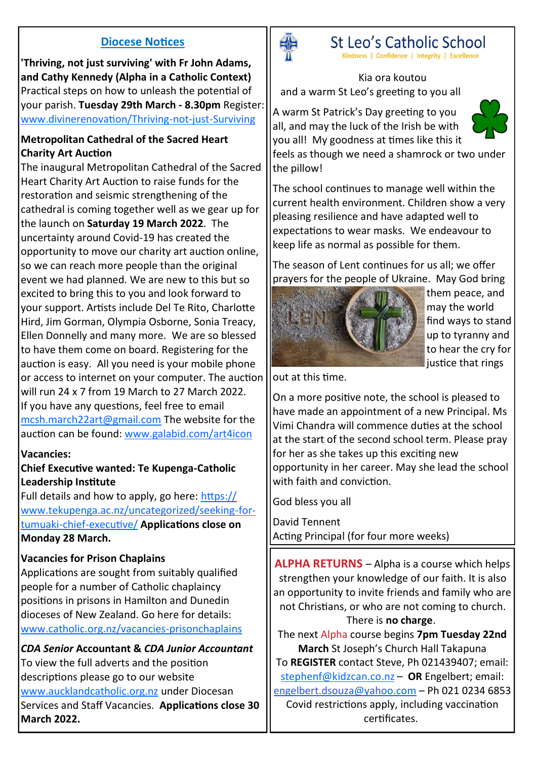#### **Diocese Notices**

**'Thriving, not just surviving' with Fr John Adams, and Cathy Kennedy (Alpha in a Catholic Context)**  Practical steps on how to unleash the potential of your parish. **Tuesday 29th March - 8.30pm** Register: [www.divinerenovation/Thriving](https://divinerenovation.tfaforms.net/f/Thriving-not-just-Surviving)-not-just-Surviving

#### **Metropolitan Cathedral of the Sacred Heart Charity Art Auction**

The inaugural Metropolitan Cathedral of the Sacred Heart Charity Art Auction to raise funds for the restoration and seismic strengthening of the cathedral is coming together well as we gear up for the launch on **Saturday 19 March 2022**. The uncertainty around Covid-19 has created the opportunity to move our charity art auction online, so we can reach more people than the original event we had planned. We are new to this but so excited to bring this to you and look forward to your support. Artists include Del Te Rito, Charlotte Hird, Jim Gorman, Olympia Osborne, Sonia Treacy, Ellen Donnelly and many more. We are so blessed to have them come on board. Registering for the auction is easy. All you need is your mobile phone or access to internet on your computer. The auction will run 24 x 7 from 19 March to 27 March 2022. If you have any questions, feel free to email [mcsh.march22art@gmail.com](mailto:mcsh.march22art@gmail.com) The website for the auction can be found: [www.galabid.com/art4icon](http://www.galabid.com/art4icon)

#### **Vacancies:**

#### **Chief Executive wanted: Te Kupenga-Catholic Leadership Institute**

Full details and how to apply, go here: [https://](https://www.tekupenga.ac.nz/uncategorized/seeking-for-tumuaki-chief-executive/) [www.tekupenga.ac.nz/uncategorized/seeking](https://www.tekupenga.ac.nz/uncategorized/seeking-for-tumuaki-chief-executive/)-fortumuaki-chief-[executive/](https://www.tekupenga.ac.nz/uncategorized/seeking-for-tumuaki-chief-executive/) **Applications close on Monday 28 March.**

#### **Vacancies for Prison Chaplains**

Applications are sought from suitably qualified people for a number of Catholic chaplaincy positions in prisons in Hamilton and Dunedin dioceses of New Zealand. Go here for details: [www.catholic.org.nz/vacancies](https://www.catholic.org.nz/news/media-releases/vacancies-prisonchaplains/)-prisonchaplains

*CDA Senior* **Accountant &** *CDA Junior Accountant* To view the full adverts and the position descriptions please go to our website [www.aucklandcatholic.org.nz](http://www.aucklandcatholic.org.nz) under Diocesan Services and Staff Vacancies. **Applications close 30 March 2022.**



# St Leo's Catholic School

Kindness | Confidence | Integrity | Excellence

Kia ora koutou and a warm St Leo's greeting to you all

A warm St Patrick's Day greeting to you all, and may the luck of the Irish be with you all! My goodness at times like this it



feels as though we need a shamrock or two under the pillow!

The school continues to manage well within the current health environment. Children show a very pleasing resilience and have adapted well to expectations to wear masks. We endeavour to keep life as normal as possible for them.

The season of Lent continues for us all; we offer prayers for the people of Ukraine. May God bring



them peace, and may the world find ways to stand up to tyranny and to hear the cry for liustice that rings

out at this time.

On a more positive note, the school is pleased to have made an appointment of a new Principal. Ms Vimi Chandra will commence duties at the school at the start of the second school term. Please pray for her as she takes up this exciting new opportunity in her career. May she lead the school with faith and conviction.

God bless you all

David Tennent Acting Principal (for four more weeks)

**ALPHA RETURNS** – Alpha is a course which helps strengthen your knowledge of our faith. It is also an opportunity to invite friends and family who are not Christians, or who are not coming to church.

#### There is **no charge**.

The next Alpha course begins **7pm Tuesday 22nd March** St Joseph's Church Hall Takapuna To **REGISTER** contact Steve, Ph 021439407; email: [stephenf@kidzcan.co.nz](mailto:stephenf@kidzcan.co.nz) – **OR** Engelbert; email: [engelbert.dsouza@yahoo.com](mailto:engelbert.dsouza@yahoo.com) – Ph 021 0234 6853 Covid restrictions apply, including vaccination certificates.